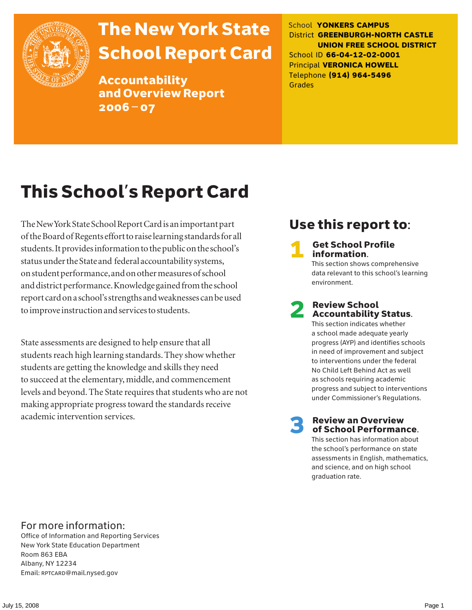

# The New York State School Report Card

Accountability and Overview Report 2006–07

School **YONKERS CAMPUS** District **GREENBURGH-NORTH CASTLE UNION FREE SCHOOL DISTRICT** School ID **66-04-12-02-0001** Principal **VERONICA HOWELL** Telephone **(914) 964-5496** Grades

# This School's Report Card

The New York State School Report Card is an important part of the Board of Regents effort to raise learning standards for all students. It provides information to the public on the school's status under the State and federal accountability systems, on student performance, and on other measures of school and district performance. Knowledge gained from the school report card on a school's strengths and weaknesses can be used to improve instruction and services to students.

State assessments are designed to help ensure that all students reach high learning standards. They show whether students are getting the knowledge and skills they need to succeed at the elementary, middle, and commencement levels and beyond. The State requires that students who are not making appropriate progress toward the standards receive academic intervention services.

## Use this report to:

**Get School Profile** information.

This section shows comprehensive data relevant to this school's learning environment.

# 2 Review School Accountability Status.

This section indicates whether a school made adequate yearly progress (AYP) and identifies schools in need of improvement and subject to interventions under the federal No Child Left Behind Act as well as schools requiring academic progress and subject to interventions under Commissioner's Regulations.

**Review an Overview** of School Performance.

This section has information about the school's performance on state assessments in English, mathematics, and science, and on high school graduation rate.

### For more information:

Office of Information and Reporting Services New York State Education Department Room 863 EBA Albany, NY 12234 Email: RPTCARD@mail.nysed.gov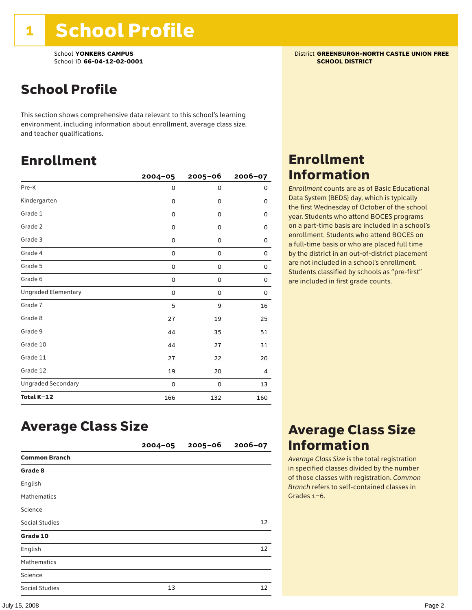# School Profile

This section shows comprehensive data relevant to this school's learning environment, including information about enrollment, average class size, and teacher qualifications.

### Enrollment

|                            | $2004 - 05$ | $2005 - 06$ | 2006-07  |
|----------------------------|-------------|-------------|----------|
| Pre-K                      | 0           | 0           | 0        |
| Kindergarten               | 0           | $\mathbf 0$ | 0        |
| Grade 1                    | 0           | 0           | 0        |
| Grade 2                    | 0           | 0           | 0        |
| Grade 3                    | 0           | 0           | 0        |
| Grade 4                    | 0           | 0           | 0        |
| Grade 5                    | 0           | 0           | 0        |
| Grade 6                    | 0           | 0           | 0        |
| <b>Ungraded Elementary</b> | 0           | $\mathbf 0$ | $\Omega$ |
| Grade 7                    | 5           | 9           | 16       |
| Grade 8                    | 27          | 19          | 25       |
| Grade 9                    | 44          | 35          | 51       |
| Grade 10                   | 44          | 27          | 31       |
| Grade 11                   | 27          | 22          | 20       |
| Grade 12                   | 19          | 20          | 4        |
| <b>Ungraded Secondary</b>  | 0           | 0           | 13       |
| Total K-12                 | 166         | 132         | 160      |

# Average Class Size

|                      | $2004 - 05$ | $2005 - 06$ | $2006 - 07$ |
|----------------------|-------------|-------------|-------------|
| <b>Common Branch</b> |             |             |             |
| Grade 8              |             |             |             |
| English              |             |             |             |
| <b>Mathematics</b>   |             |             |             |
| Science              |             |             |             |
| Social Studies       |             |             | 12          |
| Grade 10             |             |             |             |
| English              |             |             | 12          |
| <b>Mathematics</b>   |             |             |             |
| Science              |             |             |             |
| Social Studies       | 13          |             | 12          |

### School **YONKERS CAMPUS**<br>
School ID 66-04-12-02-0001<br>
School ID 66-04-12-02-0001

### Enrollment Information

*Enrollment* counts are as of Basic Educational Data System (BEDS) day, which is typically the first Wednesday of October of the school year. Students who attend BOCES programs on a part-time basis are included in a school's enrollment. Students who attend BOCES on a full-time basis or who are placed full time by the district in an out-of-district placement are not included in a school's enrollment. Students classified by schools as "pre-first" are included in first grade counts.

### Average Class Size Information

*Average Class Size* is the total registration in specified classes divided by the number of those classes with registration. *Common Branch* refers to self-contained classes in Grades 1–6.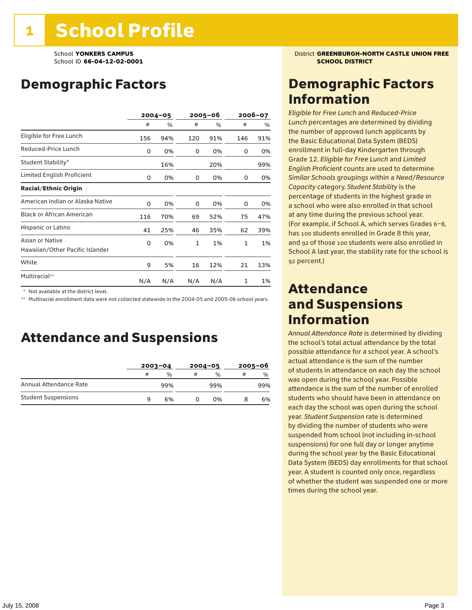## Demographic Factors

|                                                    |     | $2004 - 05$ | 2005–06      |     | 2006-07      |     |
|----------------------------------------------------|-----|-------------|--------------|-----|--------------|-----|
|                                                    | #   | %           | #            | %   | #            | %   |
| Eligible for Free Lunch                            | 156 | 94%         | 120          | 91% | 146          | 91% |
| Reduced-Price Lunch                                | 0   | 0%          | 0            | 0%  | 0            | 0%  |
| Student Stability*                                 |     | 16%         |              | 20% |              | 99% |
| Limited English Proficient                         | 0   | 0%          | 0            | 0%  | 0            | 0%  |
| <b>Racial/Ethnic Origin</b>                        |     |             |              |     |              |     |
| American Indian or Alaska Native                   | 0   | 0%          | 0            | 0%  | 0            | 0%  |
| <b>Black or African American</b>                   | 116 | 70%         | 69           | 52% | 75           | 47% |
| Hispanic or Latino                                 | 41  | 25%         | 46           | 35% | 62           | 39% |
| Asian or Native<br>Hawaiian/Other Pacific Islander | 0   | 0%          | $\mathbf{1}$ | 1%  | $\mathbf{1}$ | 1%  |
| White                                              | 9   | 5%          | 16           | 12% | 21           | 13% |
| Multiracial**                                      | N/A | N/A         | N/A          | N/A | 1            | 1%  |

\* Not available at the district level.

\*\* Multiracial enrollment data were not collected statewide in the 2004-05 and 2005-06 school years.

### Attendance and Suspensions

|                            |   | $2003 - 04$ |   | $2004 - 05$   | $2005 - 06$ |     |
|----------------------------|---|-------------|---|---------------|-------------|-----|
|                            | # | %           | # | $\frac{0}{0}$ | #           | %   |
| Annual Attendance Rate     |   | 99%         |   | 99%           |             | 99% |
| <b>Student Suspensions</b> | 9 | 6%          |   | በ%            |             | 6%  |

**School YONKERS CAMPUS District GREENBURGH-NORTH CASTLE UNION FREE** 

### Demographic Factors Information

*Eligible for Free Lunch* and *Reduced*-*Price Lunch* percentages are determined by dividing the number of approved lunch applicants by the Basic Educational Data System (BEDS) enrollment in full-day Kindergarten through Grade 12. *Eligible for Free Lunch* and *Limited English Proficient* counts are used to determine *Similar Schools* groupings within a *Need*/*Resource Capacity* category. *Student Stability* is the percentage of students in the highest grade in a school who were also enrolled in that school at any time during the previous school year. (For example, if School A, which serves Grades 6–8, has 100 students enrolled in Grade 8 this year, and 92 of those 100 students were also enrolled in School A last year, the stability rate for the school is 92 percent.)

### Attendance and Suspensions Information

*Annual Attendance Rate* is determined by dividing the school's total actual attendance by the total possible attendance for a school year. A school's actual attendance is the sum of the number of students in attendance on each day the school was open during the school year. Possible attendance is the sum of the number of enrolled students who should have been in attendance on each day the school was open during the school year. *Student Suspension* rate is determined by dividing the number of students who were suspended from school (not including in-school suspensions) for one full day or longer anytime during the school year by the Basic Educational Data System (BEDS) day enrollments for that school year. A student is counted only once, regardless of whether the student was suspended one or more times during the school year.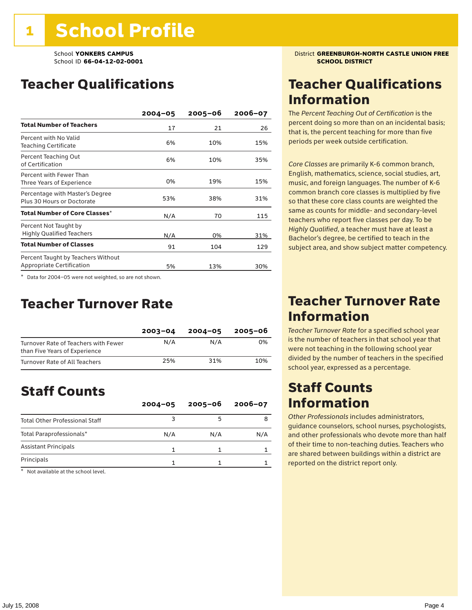## Teacher Qualifications

|                                                                 | $2004 - 05$ | $2005 - 06$ | $2006 - 07$ |
|-----------------------------------------------------------------|-------------|-------------|-------------|
| <b>Total Number of Teachers</b>                                 | 17          | 21          | 26          |
| Percent with No Valid<br><b>Teaching Certificate</b>            | 6%          | 10%         | 15%         |
| Percent Teaching Out<br>of Certification                        | 6%          | 10%         | 35%         |
| Percent with Fewer Than<br>Three Years of Experience            | 0%          | 19%         | 15%         |
| Percentage with Master's Degree<br>Plus 30 Hours or Doctorate   | 53%         | 38%         | 31%         |
| Total Number of Core Classes $^\star$                           | N/A         | 70          | 115         |
| Percent Not Taught by<br><b>Highly Qualified Teachers</b>       | N/A         | 0%          | 31%         |
| <b>Total Number of Classes</b>                                  | 91          | 104         | 129         |
| Percent Taught by Teachers Without<br>Appropriate Certification | 5%          | 13%         | 30%         |

\* Data for 2004–05 were not weighted, so are not shown.

### Teacher Turnover Rate

|                                                                       | $2003 - 04$ | $2004 - 05$ | 2005-06 |
|-----------------------------------------------------------------------|-------------|-------------|---------|
| Turnover Rate of Teachers with Fewer<br>than Five Years of Experience | N/A         | N/A         | 0%      |
| Turnover Rate of All Teachers                                         | 25%         | 31%         | 10%     |

## Staff Counts

|                                       | $2004 - 05$ | $2005 - 06$ | $2006 - 07$ |
|---------------------------------------|-------------|-------------|-------------|
| <b>Total Other Professional Staff</b> |             |             |             |
| Total Paraprofessionals*              | N/A         | N/A         | N/A         |
| <b>Assistant Principals</b>           |             |             |             |
| Principals                            |             |             |             |

\* Not available at the school level.

### School **YONKERS CAMPUS**<br>School ID 66-04-12-02-0001 **District GREENBURGH-NORTH CASTLE UNION FREE**

### Teacher Qualifications Information

The *Percent Teaching Out of Certification* is the percent doing so more than on an incidental basis; that is, the percent teaching for more than five periods per week outside certification.

*Core Classes* are primarily K-6 common branch, English, mathematics, science, social studies, art, music, and foreign languages. The number of K-6 common branch core classes is multiplied by five so that these core class counts are weighted the same as counts for middle- and secondary-level teachers who report five classes per day. To be *Highly Qualified*, a teacher must have at least a Bachelor's degree, be certified to teach in the subject area, and show subject matter competency.

### Teacher Turnover Rate Information

*Teacher Turnover Rate* for a specified school year is the number of teachers in that school year that were not teaching in the following school year divided by the number of teachers in the specified school year, expressed as a percentage.

### Staff Counts Information

*Other Professionals* includes administrators, guidance counselors, school nurses, psychologists, and other professionals who devote more than half of their time to non-teaching duties. Teachers who are shared between buildings within a district are reported on the district report only.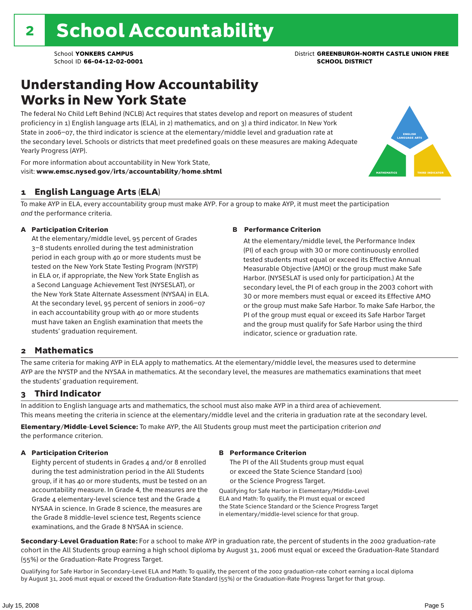## Understanding How Accountability Works in New York State

The federal No Child Left Behind (NCLB) Act requires that states develop and report on measures of student proficiency in 1) English language arts (ELA), in 2) mathematics, and on 3) a third indicator. In New York State in 2006–07, the third indicator is science at the elementary/middle level and graduation rate at the secondary level. Schools or districts that meet predefined goals on these measures are making Adequate Yearly Progress (AYP).



For more information about accountability in New York State, visit: www.emsc.nysed.gov/irts/accountability/home.shtml

#### 1 English Language Arts (ELA)

To make AYP in ELA, every accountability group must make AYP. For a group to make AYP, it must meet the participation *and* the performance criteria.

#### A Participation Criterion

At the elementary/middle level, 95 percent of Grades 3–8 students enrolled during the test administration period in each group with 40 or more students must be tested on the New York State Testing Program (NYSTP) in ELA or, if appropriate, the New York State English as a Second Language Achievement Test (NYSESLAT), or the New York State Alternate Assessment (NYSAA) in ELA. At the secondary level, 95 percent of seniors in 2006–07 in each accountability group with 40 or more students must have taken an English examination that meets the students' graduation requirement.

#### B Performance Criterion

At the elementary/middle level, the Performance Index (PI) of each group with 30 or more continuously enrolled tested students must equal or exceed its Effective Annual Measurable Objective (AMO) or the group must make Safe Harbor. (NYSESLAT is used only for participation.) At the secondary level, the PI of each group in the 2003 cohort with 30 or more members must equal or exceed its Effective AMO or the group must make Safe Harbor. To make Safe Harbor, the PI of the group must equal or exceed its Safe Harbor Target and the group must qualify for Safe Harbor using the third indicator, science or graduation rate.

#### 2 Mathematics

The same criteria for making AYP in ELA apply to mathematics. At the elementary/middle level, the measures used to determine AYP are the NYSTP and the NYSAA in mathematics. At the secondary level, the measures are mathematics examinations that meet the students' graduation requirement.

#### 3 Third Indicator

In addition to English language arts and mathematics, the school must also make AYP in a third area of achievement. This means meeting the criteria in science at the elementary/middle level and the criteria in graduation rate at the secondary level.

Elementary/Middle-Level Science: To make AYP, the All Students group must meet the participation criterion *and* the performance criterion.

#### A Participation Criterion

Eighty percent of students in Grades 4 and/or 8 enrolled during the test administration period in the All Students group, if it has 40 or more students, must be tested on an accountability measure. In Grade 4, the measures are the Grade 4 elementary-level science test and the Grade 4 NYSAA in science. In Grade 8 science, the measures are the Grade 8 middle-level science test, Regents science examinations, and the Grade 8 NYSAA in science.

#### B Performance Criterion

The PI of the All Students group must equal or exceed the State Science Standard (100) or the Science Progress Target.

Qualifying for Safe Harbor in Elementary/Middle-Level ELA and Math: To qualify, the PI must equal or exceed the State Science Standard or the Science Progress Target in elementary/middle-level science for that group.

Secondary-Level Graduation Rate: For a school to make AYP in graduation rate, the percent of students in the 2002 graduation-rate cohort in the All Students group earning a high school diploma by August 31, 2006 must equal or exceed the Graduation-Rate Standard (55%) or the Graduation-Rate Progress Target.

Qualifying for Safe Harbor in Secondary-Level ELA and Math: To qualify, the percent of the 2002 graduation-rate cohort earning a local diploma by August 31, 2006 must equal or exceed the Graduation-Rate Standard (55%) or the Graduation-Rate Progress Target for that group.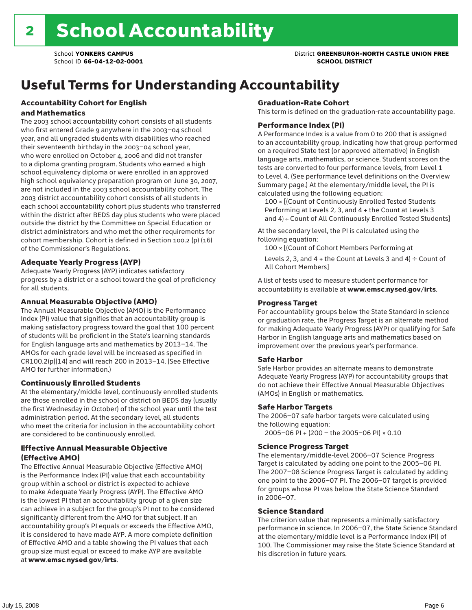### School **YONKERS CAMPUS** District **GREENBURGH-NORTH CASTLE UNION FREE**

# Useful Terms for Understanding Accountability

#### Accountability Cohort for English and Mathematics

The 2003 school accountability cohort consists of all students who first entered Grade 9 anywhere in the 2003–04 school year, and all ungraded students with disabilities who reached their seventeenth birthday in the 2003–04 school year, who were enrolled on October 4, 2006 and did not transfer to a diploma granting program. Students who earned a high school equivalency diploma or were enrolled in an approved high school equivalency preparation program on June 30, 2007, are not included in the 2003 school accountability cohort. The 2003 district accountability cohort consists of all students in each school accountability cohort plus students who transferred within the district after BEDS day plus students who were placed outside the district by the Committee on Special Education or district administrators and who met the other requirements for cohort membership. Cohort is defined in Section 100.2 (p) (16) of the Commissioner's Regulations.

#### Adequate Yearly Progress (AYP)

Adequate Yearly Progress (AYP) indicates satisfactory progress by a district or a school toward the goal of proficiency for all students.

#### Annual Measurable Objective (AMO)

The Annual Measurable Objective (AMO) is the Performance Index (PI) value that signifies that an accountability group is making satisfactory progress toward the goal that 100 percent of students will be proficient in the State's learning standards for English language arts and mathematics by 2013–14. The AMOs for each grade level will be increased as specified in CR100.2(p)(14) and will reach 200 in 2013–14. (See Effective AMO for further information.)

#### Continuously Enrolled Students

At the elementary/middle level, continuously enrolled students are those enrolled in the school or district on BEDS day (usually the first Wednesday in October) of the school year until the test administration period. At the secondary level, all students who meet the criteria for inclusion in the accountability cohort are considered to be continuously enrolled.

#### Effective Annual Measurable Objective (Effective AMO)

The Effective Annual Measurable Objective (Effective AMO) is the Performance Index (PI) value that each accountability group within a school or district is expected to achieve to make Adequate Yearly Progress (AYP). The Effective AMO is the lowest PI that an accountability group of a given size can achieve in a subject for the group's PI not to be considered significantly different from the AMO for that subject. If an accountability group's PI equals or exceeds the Effective AMO, it is considered to have made AYP. A more complete definition of Effective AMO and a table showing the PI values that each group size must equal or exceed to make AYP are available at www.emsc.nysed.gov/irts.

#### Graduation-Rate Cohort

This term is defined on the graduation-rate accountability page.

#### Performance Index (PI)

A Performance Index is a value from 0 to 200 that is assigned to an accountability group, indicating how that group performed on a required State test (or approved alternative) in English language arts, mathematics, or science. Student scores on the tests are converted to four performance levels, from Level 1 to Level 4. (See performance level definitions on the Overview Summary page.) At the elementary/middle level, the PI is calculated using the following equation:

100 × [(Count of Continuously Enrolled Tested Students Performing at Levels 2, 3, and 4 + the Count at Levels 3 and 4) ÷ Count of All Continuously Enrolled Tested Students]

At the secondary level, the PI is calculated using the following equation:

100 × [(Count of Cohort Members Performing at

Levels 2, 3, and 4 + the Count at Levels 3 and 4)  $\div$  Count of All Cohort Members]

A list of tests used to measure student performance for accountability is available at www.emsc.nysed.gov/irts.

#### Progress Target

For accountability groups below the State Standard in science or graduation rate, the Progress Target is an alternate method for making Adequate Yearly Progress (AYP) or qualifying for Safe Harbor in English language arts and mathematics based on improvement over the previous year's performance.

#### Safe Harbor

Safe Harbor provides an alternate means to demonstrate Adequate Yearly Progress (AYP) for accountability groups that do not achieve their Effective Annual Measurable Objectives (AMOs) in English or mathematics.

#### Safe Harbor Targets

The 2006–07 safe harbor targets were calculated using the following equation:

2005–06 PI + (200 – the 2005–06 PI) × 0.10

#### Science Progress Target

The elementary/middle-level 2006–07 Science Progress Target is calculated by adding one point to the 2005–06 PI. The 2007–08 Science Progress Target is calculated by adding one point to the 2006–07 PI. The 2006–07 target is provided for groups whose PI was below the State Science Standard in 2006–07.

#### Science Standard

The criterion value that represents a minimally satisfactory performance in science. In 2006–07, the State Science Standard at the elementary/middle level is a Performance Index (PI) of 100. The Commissioner may raise the State Science Standard at his discretion in future years.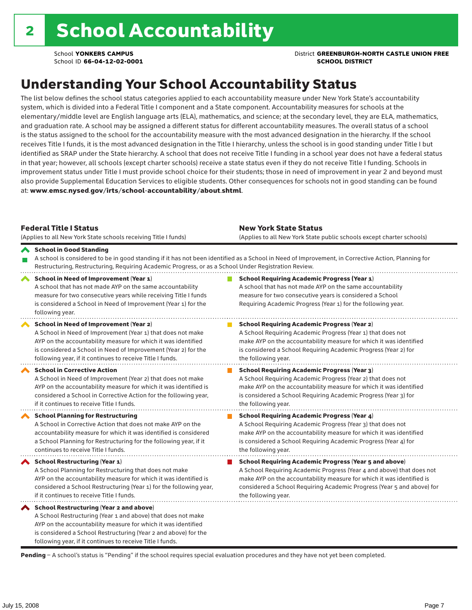School **YONKERS CAMPUS** District **GREENBURGH-NORTH CASTLE UNION FREE**

## Understanding Your School Accountability Status

The list below defines the school status categories applied to each accountability measure under New York State's accountability system, which is divided into a Federal Title I component and a State component. Accountability measures for schools at the elementary/middle level are English language arts (ELA), mathematics, and science; at the secondary level, they are ELA, mathematics, and graduation rate. A school may be assigned a different status for different accountability measures. The overall status of a school is the status assigned to the school for the accountability measure with the most advanced designation in the hierarchy. If the school receives Title I funds, it is the most advanced designation in the Title I hierarchy, unless the school is in good standing under Title I but identified as SRAP under the State hierarchy. A school that does not receive Title I funding in a school year does not have a federal status in that year; however, all schools (except charter schools) receive a state status even if they do not receive Title I funding. Schools in improvement status under Title I must provide school choice for their students; those in need of improvement in year 2 and beyond must also provide Supplemental Education Services to eligible students. Other consequences for schools not in good standing can be found at: www.emsc.nysed.gov/irts/school-accountability/about.shtml.

| <b>Federal Title I Status</b><br>(Applies to all New York State schools receiving Title I funds)                                                                                                                                                                                                             | <b>New York State Status</b><br>(Applies to all New York State public schools except charter schools)                                                                                                                                                                                                           |
|--------------------------------------------------------------------------------------------------------------------------------------------------------------------------------------------------------------------------------------------------------------------------------------------------------------|-----------------------------------------------------------------------------------------------------------------------------------------------------------------------------------------------------------------------------------------------------------------------------------------------------------------|
| School in Good Standing<br>Restructuring, Restructuring, Requiring Academic Progress, or as a School Under Registration Review.                                                                                                                                                                              | A school is considered to be in good standing if it has not been identified as a School in Need of Improvement, in Corrective Action, Planning for                                                                                                                                                              |
| School in Need of Improvement (Year 1)<br>A school that has not made AYP on the same accountability<br>measure for two consecutive years while receiving Title I funds<br>is considered a School in Need of Improvement (Year 1) for the<br>following year.                                                  | <b>School Requiring Academic Progress (Year 1)</b><br>A school that has not made AYP on the same accountability<br>measure for two consecutive years is considered a School<br>Requiring Academic Progress (Year 1) for the following year.                                                                     |
| <b>School in Need of Improvement (Year 2)</b><br>A School in Need of Improvement (Year 1) that does not make<br>AYP on the accountability measure for which it was identified<br>is considered a School in Need of Improvement (Year 2) for the<br>following year, if it continues to receive Title I funds. | <b>School Requiring Academic Progress (Year 2)</b><br>A School Requiring Academic Progress (Year 1) that does not<br>make AYP on the accountability measure for which it was identified<br>is considered a School Requiring Academic Progress (Year 2) for<br>the following year.                               |
| <b>School in Corrective Action</b><br>A School in Need of Improvement (Year 2) that does not make<br>AYP on the accountability measure for which it was identified is<br>considered a School in Corrective Action for the following year,<br>if it continues to receive Title I funds.                       | <b>School Requiring Academic Progress (Year 3)</b><br>A School Requiring Academic Progress (Year 2) that does not<br>make AYP on the accountability measure for which it was identified<br>is considered a School Requiring Academic Progress (Year 3) for<br>the following year.                               |
| <b>School Planning for Restructuring</b><br>A School in Corrective Action that does not make AYP on the<br>accountability measure for which it was identified is considered<br>a School Planning for Restructuring for the following year, if it<br>continues to receive Title I funds.                      | <b>School Requiring Academic Progress (Year 4)</b><br>A School Requiring Academic Progress (Year 3) that does not<br>make AYP on the accountability measure for which it was identified<br>is considered a School Requiring Academic Progress (Year 4) for<br>the following year.                               |
| <b>School Restructuring (Year 1)</b><br>A School Planning for Restructuring that does not make<br>AYP on the accountability measure for which it was identified is<br>considered a School Restructuring (Year 1) for the following year,<br>if it continues to receive Title I funds.                        | <b>School Requiring Academic Progress (Year 5 and above)</b><br>A School Requiring Academic Progress (Year 4 and above) that does not<br>make AYP on the accountability measure for which it was identified is<br>considered a School Requiring Academic Progress (Year 5 and above) for<br>the following year. |
| School Restructuring (Year 2 and above)<br>A School Restructuring (Year 1 and above) that does not make<br>AYP on the accountability measure for which it was identified<br>is considered a School Restructuring (Year 2 and above) for the<br>following year, if it continues to receive Title I funds.     |                                                                                                                                                                                                                                                                                                                 |

Pending - A school's status is "Pending" if the school requires special evaluation procedures and they have not yet been completed.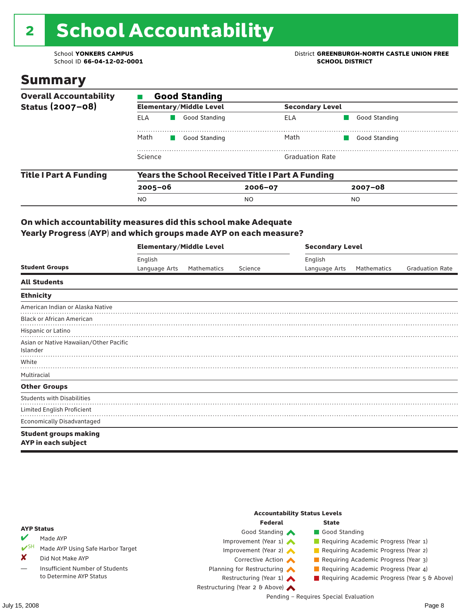# 2 School Accountability

School ID 66-04-12-02-0001

### Summary

| <b>Overall Accountability</b> | <b>Good Standing</b>                                    |                                |                        |               |  |  |  |
|-------------------------------|---------------------------------------------------------|--------------------------------|------------------------|---------------|--|--|--|
| Status (2007-08)              |                                                         | <b>Elementary/Middle Level</b> | <b>Secondary Level</b> |               |  |  |  |
|                               | ELA                                                     | Good Standing                  | ELA                    | Good Standing |  |  |  |
|                               | Math                                                    | Good Standing                  | Math                   | Good Standing |  |  |  |
|                               | Science                                                 |                                | <b>Graduation Rate</b> |               |  |  |  |
| <b>Title I Part A Funding</b> | <b>Years the School Received Title I Part A Funding</b> |                                |                        |               |  |  |  |
|                               | $2005 - 06$                                             |                                | $2006 - 07$            | $2007 - 08$   |  |  |  |
|                               | <b>NO</b>                                               |                                | NO.                    | NO.           |  |  |  |

#### On which accountability measures did this school make Adequate Yearly Progress (AYP) and which groups made AYP on each measure?

|                                                     | <b>Elementary/Middle Level</b> |             |         |               | <b>Secondary Level</b> |                        |  |  |
|-----------------------------------------------------|--------------------------------|-------------|---------|---------------|------------------------|------------------------|--|--|
|                                                     | English                        |             |         | English       |                        |                        |  |  |
| <b>Student Groups</b>                               | Language Arts                  | Mathematics | Science | Language Arts | Mathematics            | <b>Graduation Rate</b> |  |  |
| <b>All Students</b>                                 |                                |             |         |               |                        |                        |  |  |
| <b>Ethnicity</b>                                    |                                |             |         |               |                        |                        |  |  |
| American Indian or Alaska Native                    |                                |             |         |               |                        |                        |  |  |
| <b>Black or African American</b>                    |                                |             |         |               |                        |                        |  |  |
| Hispanic or Latino                                  |                                |             |         |               |                        |                        |  |  |
| Asian or Native Hawaiian/Other Pacific<br>Islander  |                                |             |         |               |                        |                        |  |  |
| White                                               |                                |             |         |               |                        |                        |  |  |
| Multiracial                                         |                                |             |         |               |                        |                        |  |  |
| <b>Other Groups</b>                                 |                                |             |         |               |                        |                        |  |  |
| <b>Students with Disabilities</b>                   |                                |             |         |               |                        |                        |  |  |
| Limited English Proficient                          |                                |             |         |               |                        |                        |  |  |
| <b>Economically Disadvantaged</b>                   |                                |             |         |               |                        |                        |  |  |
| <b>Student groups making</b><br>AYP in each subject |                                |             |         |               |                        |                        |  |  |

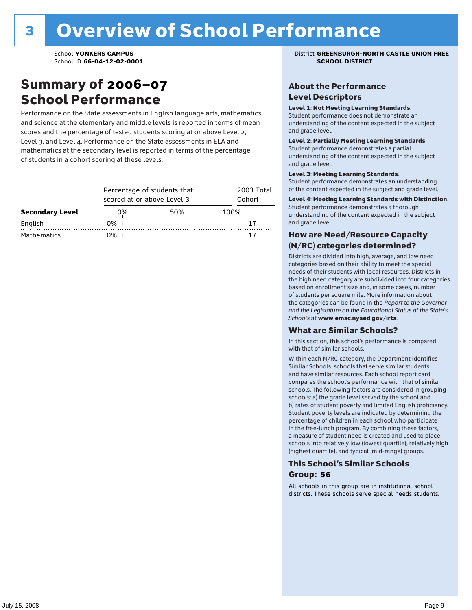### Summary of 2006–07 School Performance

Performance on the State assessments in English language arts, mathematics, and science at the elementary and middle levels is reported in terms of mean scores and the percentage of tested students scoring at or above Level 2, Level 3, and Level 4. Performance on the State assessments in ELA and mathematics at the secondary level is reported in terms of the percentage of students in a cohort scoring at these levels.

|                        |    | Percentage of students that<br>scored at or above Level 3 |      |  |  |  |
|------------------------|----|-----------------------------------------------------------|------|--|--|--|
| <b>Secondary Level</b> | 0% | 50%                                                       | 100% |  |  |  |
| English                | 0% |                                                           | 17   |  |  |  |
| <b>Mathematics</b>     | ገ% |                                                           |      |  |  |  |

School **YONKERS CAMPUS** District **GREENBURGH-NORTH CASTLE UNION FREE**

#### About the Performance Level Descriptors

#### Level 1: Not Meeting Learning Standards.

Student performance does not demonstrate an understanding of the content expected in the subject and grade level.

#### Level 2: Partially Meeting Learning Standards.

Student performance demonstrates a partial understanding of the content expected in the subject and grade level.

#### Level 3: Meeting Learning Standards.

Student performance demonstrates an understanding of the content expected in the subject and grade level.

#### Level 4: Meeting Learning Standards with Distinction.

Student performance demonstrates a thorough understanding of the content expected in the subject and grade level.

#### How are Need/Resource Capacity (N/RC) categories determined?

Districts are divided into high, average, and low need categories based on their ability to meet the special needs of their students with local resources. Districts in the high need category are subdivided into four categories based on enrollment size and, in some cases, number of students per square mile. More information about the categories can be found in the *Report to the Governor and the Legislature on the Educational Status of the State's Schools* at www.emsc.nysed.gov/irts.

#### What are Similar Schools?

In this section, this school's performance is compared with that of similar schools.

Within each N/RC category, the Department identifies Similar Schools: schools that serve similar students and have similar resources. Each school report card compares the school's performance with that of similar schools. The following factors are considered in grouping schools: a) the grade level served by the school and b) rates of student poverty and limited English proficiency. Student poverty levels are indicated by determining the percentage of children in each school who participate in the free-lunch program. By combining these factors, a measure of student need is created and used to place schools into relatively low (lowest quartile), relatively high (highest quartile), and typical (mid-range) groups.

#### This School's Similar Schools Group: **56**

All schools in this group are in institutional school districts. These schools serve special needs students.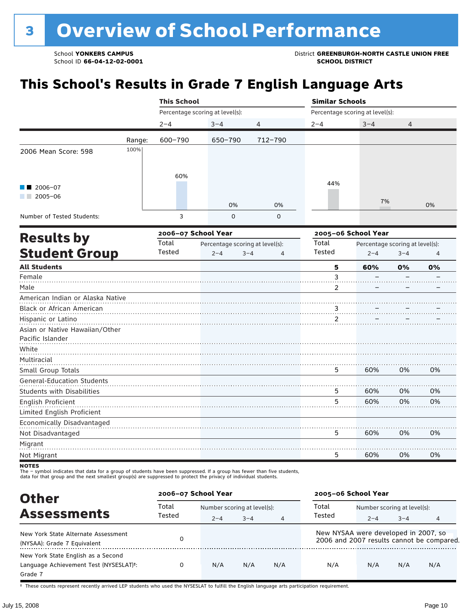School **YONKERS CAMPUS**<br>
School ID 66-04-12-02-0001<br>
School ID 66-04-12-02-0001

# **This School's Results in Grade 7 English Language Arts**

|                                   |        | <b>This School</b>  |                                 |                | <b>Similar Schools</b>          |                                 |         |    |
|-----------------------------------|--------|---------------------|---------------------------------|----------------|---------------------------------|---------------------------------|---------|----|
|                                   |        |                     | Percentage scoring at level(s): |                | Percentage scoring at level(s): |                                 |         |    |
|                                   |        | $2 - 4$             | $3 - 4$                         | $\overline{4}$ | $2 - 4$                         | $3 - 4$                         | 4       |    |
|                                   | Range: | 600-790             | 650-790                         | 712-790        |                                 |                                 |         |    |
| 2006 Mean Score: 598              | 100%   |                     |                                 |                |                                 |                                 |         |    |
| 2006-07<br>$2005 - 06$            |        | 60%                 |                                 |                | 44%                             | 7%                              |         |    |
|                                   |        |                     | 0%                              | 0%             |                                 |                                 |         | 0% |
| Number of Tested Students:        |        | 3                   | $\mathbf 0$                     | $\mathbf 0$    |                                 |                                 |         |    |
| <b>Results by</b>                 |        | 2006-07 School Year |                                 |                |                                 | 2005-06 School Year             |         |    |
|                                   |        | Total               | Percentage scoring at level(s): |                | Total                           | Percentage scoring at level(s): |         |    |
| <b>Student Group</b>              |        | Tested              | $2 - 4$<br>$3 - 4$              | $\overline{4}$ | <b>Tested</b>                   | $2 - 4$                         | $3 - 4$ | 4  |
| <b>All Students</b>               |        |                     |                                 |                | 5                               | 60%                             | 0%      | 0% |
| Female                            |        |                     |                                 |                | 3                               |                                 |         |    |
| Male                              |        |                     |                                 |                | 2                               |                                 |         |    |
| American Indian or Alaska Native  |        |                     |                                 |                |                                 |                                 |         |    |
| Black or African American         |        |                     |                                 |                | 3.                              |                                 |         |    |
| Hispanic or Latino                |        |                     |                                 |                | 2                               |                                 |         |    |
| Asian or Native Hawaiian/Other    |        |                     |                                 |                |                                 |                                 |         |    |
| Pacific Islander                  |        |                     |                                 |                |                                 |                                 |         |    |
| White                             |        |                     |                                 |                |                                 |                                 |         |    |
| Multiracial                       |        |                     |                                 |                |                                 |                                 |         |    |
| Small Group Totals                |        |                     |                                 |                | 5                               | 60%                             | 0%      | 0% |
| <b>General-Education Students</b> |        |                     |                                 |                |                                 |                                 |         |    |
| <b>Students with Disabilities</b> |        |                     |                                 |                | 5                               | 60%                             | 0%      | 0% |
| English Proficient                |        |                     |                                 |                | 5                               | 60%                             | 0%      | 0% |
| Limited English Proficient        |        |                     |                                 |                |                                 |                                 |         |    |
| Economically Disadvantaged        |        |                     |                                 |                |                                 |                                 |         |    |
| Not Disadvantaged                 |        |                     |                                 |                | 5                               | 60%                             | 0%      | 0% |
| Migrant                           |        |                     |                                 |                |                                 |                                 |         |    |
| Not Migrant                       |        |                     |                                 |                | 5                               | 60%                             | 0%      | 0% |
|                                   |        |                     |                                 |                |                                 |                                 |         |    |

NOTES<br>The – symbol indicates that data for a group of students have been suppressed. If a group has fewer than five students,<br>data for that group and the next smallest group(s) are suppressed to protect the privacy of indi

| <b>Other</b>                                                                                         | 2006-07 School Year |                             |         |                | 2005-06 School Year                  |         |         |                                           |  |
|------------------------------------------------------------------------------------------------------|---------------------|-----------------------------|---------|----------------|--------------------------------------|---------|---------|-------------------------------------------|--|
| <b>Assessments</b>                                                                                   | Total               | Number scoring at level(s): |         |                | Total<br>Number scoring at level(s): |         |         |                                           |  |
|                                                                                                      | Tested              | $2 - 4$                     | $3 - 4$ | $\overline{4}$ | Tested                               | $2 - 4$ | $3 - 4$ | 4                                         |  |
| New York State Alternate Assessment<br>(NYSAA): Grade 7 Equivalent                                   |                     |                             |         |                | New NYSAA were developed in 2007, so |         |         | 2006 and 2007 results cannot be compared. |  |
| New York State English as a Second<br>Language Achievement Test (NYSESLAT) <sup>+</sup> :<br>Grade 7 | 0                   | N/A                         | N/A     | N/A            | N/A                                  | N/A     | N/A     | N/A                                       |  |

† These counts represent recently arrived LEP students who used the NYSESLAT to fulfill the English language arts participation requirement.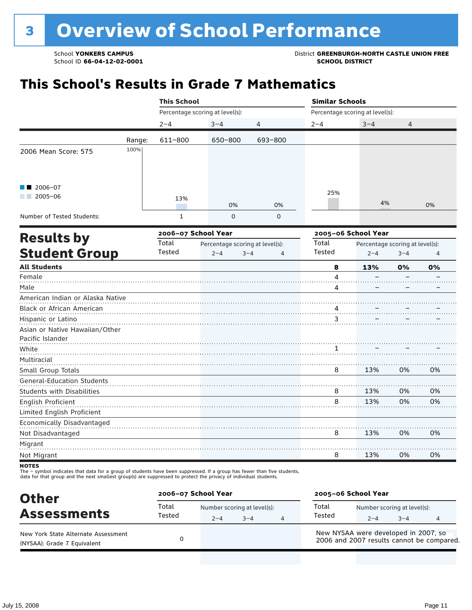School **YONKERS CAMPUS**<br>
School ID 66-04-12-02-0001

# **This School's Results in Grade 7 Mathematics**

|                                                                                                                                                                                                                                                                                                                                                                                                                                                                                                                                                                                                                                                                                                                                                                                                                                                                                                                                                                                                                                                   | $2 - 4$ | $3 - 4$ | $\overline{4}$                  | $2 - 4$ | $3 - 4$ | $\overline{4}$ |    |
|---------------------------------------------------------------------------------------------------------------------------------------------------------------------------------------------------------------------------------------------------------------------------------------------------------------------------------------------------------------------------------------------------------------------------------------------------------------------------------------------------------------------------------------------------------------------------------------------------------------------------------------------------------------------------------------------------------------------------------------------------------------------------------------------------------------------------------------------------------------------------------------------------------------------------------------------------------------------------------------------------------------------------------------------------|---------|---------|---------------------------------|---------|---------|----------------|----|
|                                                                                                                                                                                                                                                                                                                                                                                                                                                                                                                                                                                                                                                                                                                                                                                                                                                                                                                                                                                                                                                   | 611-800 | 650-800 | 693-800                         |         |         |                |    |
| <b>This School</b><br><b>Similar Schools</b><br>Percentage scoring at level(s):<br>Percentage scoring at level(s):<br>Range:<br>100%<br>2006 Mean Score: 575<br>2006-07<br>25%<br>$2005 - 06$<br>13%<br>0%<br>0%<br>Number of Tested Students:<br>$\mathbf{1}$<br>$\mathbf 0$<br>$\mathbf 0$<br>2006-07 School Year<br>2005-06 School Year<br><b>Results by</b><br>Total<br>Total<br>Percentage scoring at level(s):<br><b>Student Group</b><br>Tested<br>Tested<br>$2 - 4$<br>$3 - 4$<br>$2 - 4$<br>4<br><b>All Students</b><br>8<br>13%<br>Female<br>4<br>Male<br>4<br>American Indian or Alaska Native<br>Black or African American<br>Hispanic or Latino<br>3<br>Asian or Native Hawaiian/Other<br>Pacific Islander<br>White<br>1<br>Multiracial<br>13%<br>Small Group Totals<br>8<br><b>General-Education Students</b><br><b>Students with Disabilities</b><br>8<br>13%<br>8<br>13%<br>English Proficient<br>Limited English Proficient<br>Economically Disadvantaged<br>13%<br>8<br>Not Disadvantaged<br>Migrant<br>13%<br>8<br>Not Migrant |         |         |                                 |         |         |                |    |
|                                                                                                                                                                                                                                                                                                                                                                                                                                                                                                                                                                                                                                                                                                                                                                                                                                                                                                                                                                                                                                                   |         |         |                                 |         | 4%      |                | 0% |
|                                                                                                                                                                                                                                                                                                                                                                                                                                                                                                                                                                                                                                                                                                                                                                                                                                                                                                                                                                                                                                                   |         |         |                                 |         |         |                |    |
|                                                                                                                                                                                                                                                                                                                                                                                                                                                                                                                                                                                                                                                                                                                                                                                                                                                                                                                                                                                                                                                   |         |         |                                 |         |         |                |    |
|                                                                                                                                                                                                                                                                                                                                                                                                                                                                                                                                                                                                                                                                                                                                                                                                                                                                                                                                                                                                                                                   |         |         | Percentage scoring at level(s): | $3 - 4$ | 4       |                |    |
|                                                                                                                                                                                                                                                                                                                                                                                                                                                                                                                                                                                                                                                                                                                                                                                                                                                                                                                                                                                                                                                   |         |         |                                 |         |         | 0%             | 0% |
|                                                                                                                                                                                                                                                                                                                                                                                                                                                                                                                                                                                                                                                                                                                                                                                                                                                                                                                                                                                                                                                   |         |         |                                 |         |         |                |    |
|                                                                                                                                                                                                                                                                                                                                                                                                                                                                                                                                                                                                                                                                                                                                                                                                                                                                                                                                                                                                                                                   |         |         |                                 |         |         |                |    |
|                                                                                                                                                                                                                                                                                                                                                                                                                                                                                                                                                                                                                                                                                                                                                                                                                                                                                                                                                                                                                                                   |         |         |                                 |         |         |                |    |
|                                                                                                                                                                                                                                                                                                                                                                                                                                                                                                                                                                                                                                                                                                                                                                                                                                                                                                                                                                                                                                                   |         |         |                                 |         |         |                |    |
|                                                                                                                                                                                                                                                                                                                                                                                                                                                                                                                                                                                                                                                                                                                                                                                                                                                                                                                                                                                                                                                   |         |         |                                 |         |         | 0%             | 0% |
|                                                                                                                                                                                                                                                                                                                                                                                                                                                                                                                                                                                                                                                                                                                                                                                                                                                                                                                                                                                                                                                   |         |         |                                 |         |         |                |    |
|                                                                                                                                                                                                                                                                                                                                                                                                                                                                                                                                                                                                                                                                                                                                                                                                                                                                                                                                                                                                                                                   |         |         |                                 |         |         | 0%             | 0% |
|                                                                                                                                                                                                                                                                                                                                                                                                                                                                                                                                                                                                                                                                                                                                                                                                                                                                                                                                                                                                                                                   |         |         |                                 |         |         | 0%             | 0% |
|                                                                                                                                                                                                                                                                                                                                                                                                                                                                                                                                                                                                                                                                                                                                                                                                                                                                                                                                                                                                                                                   |         |         |                                 |         |         | 0%             | 0% |
|                                                                                                                                                                                                                                                                                                                                                                                                                                                                                                                                                                                                                                                                                                                                                                                                                                                                                                                                                                                                                                                   |         |         |                                 |         |         | 0%             | 0% |

NOTES<br>The – symbol indicates that data for a group of students have been suppressed. If a group has fewer than five students,<br>data for that group and the next smallest group(s) are suppressed to protect the privacy of indi

| <b>Other</b>                                                       | 2006-07 School Year |                                        |         |   | 2005-06 School Year                  |                                        |         |                                           |
|--------------------------------------------------------------------|---------------------|----------------------------------------|---------|---|--------------------------------------|----------------------------------------|---------|-------------------------------------------|
| <b>Assessments</b>                                                 | Total<br>Tested     | Number scoring at level(s):<br>$2 - 4$ | $3 - 4$ | 4 | Total<br>Tested                      | Number scoring at level(s):<br>$2 - 4$ | $3 - 4$ |                                           |
| New York State Alternate Assessment<br>(NYSAA): Grade 7 Equivalent |                     |                                        |         |   | New NYSAA were developed in 2007, so |                                        |         | 2006 and 2007 results cannot be compared. |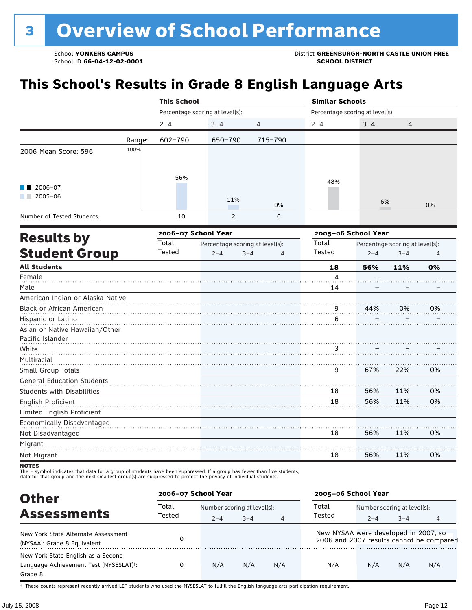School **YONKERS CAMPUS**<br>
School ID 66-04-12-02-0001<br>
School ID 66-04-12-02-0001

# **This School's Results in Grade 8 English Language Arts**

|                                                 |        | <b>This School</b> |                                                                                                                                                                                           |                |    |                                                                                                                                                                                                                              |     |    |  |
|-------------------------------------------------|--------|--------------------|-------------------------------------------------------------------------------------------------------------------------------------------------------------------------------------------|----------------|----|------------------------------------------------------------------------------------------------------------------------------------------------------------------------------------------------------------------------------|-----|----|--|
|                                                 |        |                    | Percentage scoring at level(s):                                                                                                                                                           |                |    | <b>Similar Schools</b><br>Percentage scoring at level(s):<br>$3 - 4$<br>$2 - 4$<br>4<br>48%<br>6%<br>0%<br>2005-06 School Year<br>Total<br>Percentage scoring at level(s):<br>Tested<br>$2 - 4$<br>$3 - 4$<br>$\overline{4}$ |     |    |  |
|                                                 |        | $2 - 4$            | $3 - 4$                                                                                                                                                                                   | $\overline{4}$ |    |                                                                                                                                                                                                                              |     |    |  |
|                                                 | Range: | $602 - 790$        | 650-790                                                                                                                                                                                   | 715-790        |    |                                                                                                                                                                                                                              |     |    |  |
| 2006 Mean Score: 596                            | 100%   |                    |                                                                                                                                                                                           |                |    |                                                                                                                                                                                                                              |     |    |  |
| 2006-07<br>$2005 - 06$                          |        | 56%                | 11%                                                                                                                                                                                       | 0%             |    |                                                                                                                                                                                                                              |     |    |  |
| Number of Tested Students:                      |        | 10                 | $\overline{2}$                                                                                                                                                                            | $\mathbf 0$    |    |                                                                                                                                                                                                                              |     |    |  |
|                                                 |        |                    | 2006-07 School Year<br>Percentage scoring at level(s):<br>$2 - 4$<br>$3 - 4$<br>$\overline{4}$<br>56%<br>18<br>11%<br>4<br>14<br>0%<br>$\frac{9}{11}$<br>44%<br>6<br>3<br>9<br>67%<br>22% |                |    |                                                                                                                                                                                                                              |     |    |  |
| <b>Results by</b><br><b>Student Group</b>       |        | Total<br>Tested    |                                                                                                                                                                                           |                |    |                                                                                                                                                                                                                              |     |    |  |
| <b>All Students</b>                             |        |                    |                                                                                                                                                                                           |                |    |                                                                                                                                                                                                                              |     | 0% |  |
| Female                                          |        |                    |                                                                                                                                                                                           |                |    |                                                                                                                                                                                                                              |     |    |  |
| Male                                            |        |                    |                                                                                                                                                                                           |                |    |                                                                                                                                                                                                                              |     |    |  |
| American Indian or Alaska Native                |        |                    |                                                                                                                                                                                           |                |    |                                                                                                                                                                                                                              |     |    |  |
| Black or African American                       |        |                    |                                                                                                                                                                                           |                |    |                                                                                                                                                                                                                              |     | 0% |  |
| Hispanic or Latino                              |        |                    |                                                                                                                                                                                           |                |    |                                                                                                                                                                                                                              |     |    |  |
| Asian or Native Hawaiian/Other                  |        |                    |                                                                                                                                                                                           |                |    |                                                                                                                                                                                                                              |     |    |  |
| Pacific Islander                                |        |                    |                                                                                                                                                                                           |                |    |                                                                                                                                                                                                                              |     |    |  |
| White                                           |        |                    |                                                                                                                                                                                           |                |    |                                                                                                                                                                                                                              |     |    |  |
| Multiracial                                     |        |                    |                                                                                                                                                                                           |                |    |                                                                                                                                                                                                                              |     |    |  |
| Small Group Totals                              |        |                    |                                                                                                                                                                                           |                |    |                                                                                                                                                                                                                              |     | 0% |  |
| <b>General-Education Students</b>               |        |                    |                                                                                                                                                                                           |                |    |                                                                                                                                                                                                                              |     |    |  |
| <b>Students with Disabilities</b>               |        |                    |                                                                                                                                                                                           |                | 18 | 56%                                                                                                                                                                                                                          | 11% | 0% |  |
| English Proficient                              |        |                    |                                                                                                                                                                                           |                | 18 | 56%                                                                                                                                                                                                                          | 11% | 0% |  |
| Limited English Proficient                      |        |                    |                                                                                                                                                                                           |                |    |                                                                                                                                                                                                                              |     |    |  |
| Economically Disadvantaged<br>Not Disadvantaged |        |                    |                                                                                                                                                                                           |                | 18 | 56%                                                                                                                                                                                                                          | 11% | 0% |  |
| Migrant                                         |        |                    |                                                                                                                                                                                           |                |    |                                                                                                                                                                                                                              |     |    |  |
| Not Migrant                                     |        |                    |                                                                                                                                                                                           |                | 18 | 56%                                                                                                                                                                                                                          | 11% | 0% |  |

NOTES<br>The – symbol indicates that data for a group of students have been suppressed. If a group has fewer than five students,<br>data for that group and the next smallest group(s) are suppressed to protect the privacy of indi

| <b>Other</b>                                                                            | 2006-07 School Year |                             |         |                | 2005-06 School Year                  |         |         |                                           |  |
|-----------------------------------------------------------------------------------------|---------------------|-----------------------------|---------|----------------|--------------------------------------|---------|---------|-------------------------------------------|--|
| <b>Assessments</b>                                                                      | Total               | Number scoring at level(s): |         |                | Total<br>Number scoring at level(s): |         |         |                                           |  |
|                                                                                         | Tested              | $2 - 4$                     | $3 - 4$ | $\overline{4}$ | Tested                               | $2 - 4$ | $3 - 4$ | 4                                         |  |
| New York State Alternate Assessment<br>(NYSAA): Grade 8 Equivalent                      |                     |                             |         |                | New NYSAA were developed in 2007, so |         |         | 2006 and 2007 results cannot be compared. |  |
| New York State English as a Second<br>Language Achievement Test (NYSESLAT)t:<br>Grade 8 | 0                   | N/A                         | N/A     | N/A            | N/A                                  | N/A     | N/A     | N/A                                       |  |

† These counts represent recently arrived LEP students who used the NYSESLAT to fulfill the English language arts participation requirement.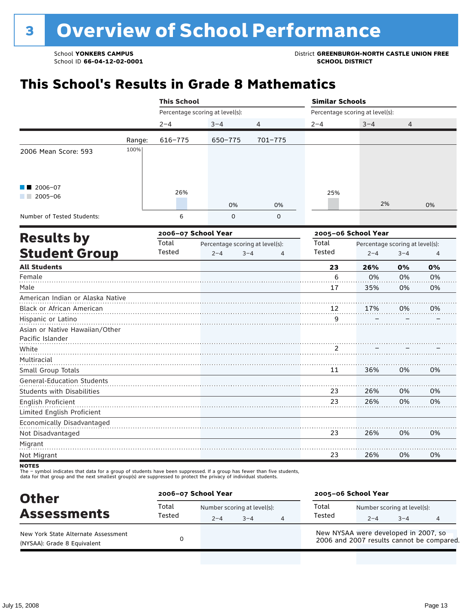School **YONKERS CAMPUS**<br>
School ID 66-04-12-02-0001

# **This School's Results in Grade 8 Mathematics**

|                                   |        | <b>This School</b>  |                                 |                           | <b>Similar Schools</b> |                                 |         |    |
|-----------------------------------|--------|---------------------|---------------------------------|---------------------------|------------------------|---------------------------------|---------|----|
|                                   |        |                     | Percentage scoring at level(s): |                           |                        | Percentage scoring at level(s): |         |    |
|                                   |        | $2 - 4$             | $3 - 4$                         | 4                         | $2 - 4$                | $3 - 4$                         | 4       |    |
|                                   | Range: | 616-775             | 650-775                         | 701-775                   |                        |                                 |         |    |
| 2006 Mean Score: 593              | 100%   |                     |                                 |                           |                        |                                 |         |    |
| $2006 - 07$<br>$2005 - 06$        |        | 26%                 |                                 |                           | 25%                    |                                 |         |    |
|                                   |        |                     | 0%                              | 0%                        |                        | 2%                              |         | 0% |
| Number of Tested Students:        |        | 6                   | 0                               | 0                         |                        |                                 |         |    |
|                                   |        | 2006-07 School Year |                                 |                           | 2005-06 School Year    |                                 |         |    |
| <b>Results by</b>                 |        | Total               | Percentage scoring at level(s): |                           | Total                  | Percentage scoring at level(s): |         |    |
| <b>Student Group</b>              |        | Tested              | $2 - 4$                         | $3 - 4$<br>$\overline{4}$ | Tested                 | $2 - 4$                         | $3 - 4$ | 4  |
| <b>All Students</b>               |        |                     |                                 |                           | 23                     | 26%                             | 0%      | 0% |
| Female                            |        |                     |                                 |                           | 6                      | 0%                              | 0%      | 0% |
| Male                              |        |                     |                                 |                           | 17                     | 35%                             | 0%      | 0% |
| American Indian or Alaska Native  |        |                     |                                 |                           |                        |                                 |         |    |
| Black or African American         |        |                     |                                 |                           | 12                     | 17%                             | 0%      | 0% |
| Hispanic or Latino                |        |                     |                                 |                           | 9                      |                                 |         |    |
| Asian or Native Hawaiian/Other    |        |                     |                                 |                           |                        |                                 |         |    |
| Pacific Islander                  |        |                     |                                 |                           |                        |                                 |         |    |
| White                             |        |                     |                                 |                           | 2                      |                                 |         |    |
| Multiracial                       |        |                     |                                 |                           |                        |                                 |         |    |
| Small Group Totals                |        |                     |                                 |                           | 11                     | 36%                             | 0%      | 0% |
| <b>General-Education Students</b> |        |                     |                                 |                           |                        |                                 |         |    |
| <b>Students with Disabilities</b> |        |                     |                                 |                           | 23                     | 26%                             | 0%      | 0% |
| English Proficient                |        |                     |                                 |                           | 23                     | 26%                             | 0%      | 0% |
| Limited English Proficient        |        |                     |                                 |                           |                        |                                 |         |    |
| Economically Disadvantaged        |        |                     |                                 |                           |                        |                                 |         |    |
| Not Disadvantaged                 |        |                     |                                 |                           | 23                     | 26%                             | 0%      | 0% |
| Migrant<br>Not Migrant            |        |                     |                                 |                           | 23                     | 26%                             | 0%      | 0% |
|                                   |        |                     |                                 |                           |                        |                                 |         |    |

NOTES<br>The – symbol indicates that data for a group of students have been suppressed. If a group has fewer than five students,<br>data for that group and the next smallest group(s) are suppressed to protect the privacy of indi

| <b>Other</b>                                                       | 2006-07 School Year |                                        |         | 2005-06 School Year                                                               |                                        |         |  |
|--------------------------------------------------------------------|---------------------|----------------------------------------|---------|-----------------------------------------------------------------------------------|----------------------------------------|---------|--|
| <b>Assessments</b>                                                 | Total<br>Tested     | Number scoring at level(s):<br>$2 - 4$ | $3 - 4$ | Total<br>Tested                                                                   | Number scoring at level(s):<br>$2 - 4$ | $3 - 4$ |  |
| New York State Alternate Assessment<br>(NYSAA): Grade 8 Equivalent |                     |                                        |         | New NYSAA were developed in 2007, so<br>2006 and 2007 results cannot be compared. |                                        |         |  |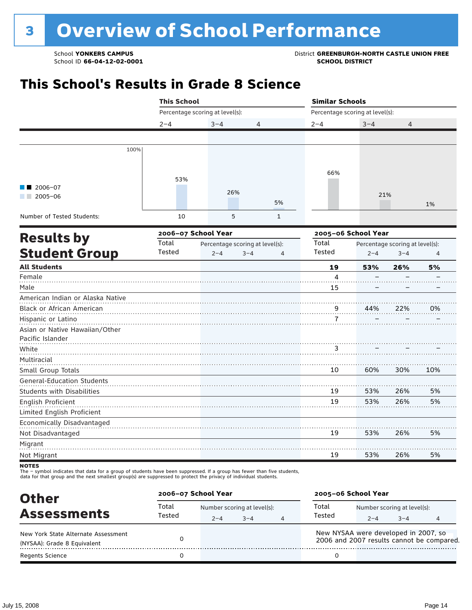School **YONKERS CAMPUS**<br>
School ID 66-04-12-02-0001

# **This School's Results in Grade 8 Science**

|                                   | <b>This School</b> |                                                                                                                                                                                     |  | <b>Similar Schools</b> |                                 |                                 |     |
|-----------------------------------|--------------------|-------------------------------------------------------------------------------------------------------------------------------------------------------------------------------------|--|------------------------|---------------------------------|---------------------------------|-----|
|                                   |                    | Percentage scoring at level(s):<br>$3 - 4$<br>4<br>26%<br>5%<br>5<br>$\mathbf{1}$<br>2006-07 School Year<br>Percentage scoring at level(s):<br>$2 - 4$<br>$3 - 4$<br>$\overline{4}$ |  |                        | Percentage scoring at level(s): |                                 |     |
|                                   | $2 - 4$            |                                                                                                                                                                                     |  | $2 - 4$                | $3 - 4$                         | 4                               |     |
|                                   |                    |                                                                                                                                                                                     |  |                        |                                 |                                 |     |
| 100%                              |                    |                                                                                                                                                                                     |  |                        |                                 |                                 |     |
|                                   | 53%                |                                                                                                                                                                                     |  | 66%                    |                                 |                                 |     |
| 2006-07                           |                    |                                                                                                                                                                                     |  |                        |                                 |                                 |     |
| $2005 - 06$                       |                    |                                                                                                                                                                                     |  |                        | 21%                             |                                 |     |
|                                   |                    |                                                                                                                                                                                     |  |                        |                                 |                                 | 1%  |
| Number of Tested Students:        | 10                 |                                                                                                                                                                                     |  |                        |                                 |                                 |     |
| <b>Results by</b>                 |                    |                                                                                                                                                                                     |  |                        | 2005-06 School Year             |                                 |     |
|                                   | Total              |                                                                                                                                                                                     |  | Total                  |                                 | Percentage scoring at level(s): |     |
| <b>Student Group</b>              | Tested             |                                                                                                                                                                                     |  | Tested                 | $2 - 4$                         | $3 - 4$                         | 4   |
| <b>All Students</b>               |                    |                                                                                                                                                                                     |  | 19                     | 53%                             | 26%                             | 5%  |
| Female                            |                    |                                                                                                                                                                                     |  | 4                      |                                 |                                 |     |
| Male                              |                    |                                                                                                                                                                                     |  | 15                     |                                 |                                 |     |
| American Indian or Alaska Native  |                    |                                                                                                                                                                                     |  |                        |                                 |                                 |     |
| Black or African American         |                    |                                                                                                                                                                                     |  | $\frac{9}{1}$          | 44%                             | 22%                             | 0%  |
| Hispanic or Latino                |                    |                                                                                                                                                                                     |  | 7                      |                                 |                                 |     |
| Asian or Native Hawaiian/Other    |                    |                                                                                                                                                                                     |  |                        |                                 |                                 |     |
| Pacific Islander                  |                    |                                                                                                                                                                                     |  |                        |                                 |                                 |     |
| White                             |                    |                                                                                                                                                                                     |  | 3                      |                                 |                                 |     |
| Multiracial                       |                    |                                                                                                                                                                                     |  |                        |                                 |                                 |     |
| Small Group Totals                |                    |                                                                                                                                                                                     |  | 10                     | 60%                             | 30%                             | 10% |
| <b>General-Education Students</b> |                    |                                                                                                                                                                                     |  |                        |                                 |                                 |     |
| <b>Students with Disabilities</b> |                    |                                                                                                                                                                                     |  | 19                     | 53%                             | 26%                             | 5%  |
| English Proficient                |                    |                                                                                                                                                                                     |  | 19                     | 53%                             | 26%                             | 5%  |
| Limited English Proficient        |                    |                                                                                                                                                                                     |  |                        |                                 |                                 |     |
| Economically Disadvantaged        |                    |                                                                                                                                                                                     |  |                        |                                 |                                 |     |
| Not Disadvantaged                 |                    |                                                                                                                                                                                     |  | 19                     | 53%                             | 26%                             | 5%  |
| Migrant                           |                    |                                                                                                                                                                                     |  |                        |                                 |                                 |     |
| Not Migrant                       |                    |                                                                                                                                                                                     |  | 19                     | 53%                             | 26%                             | 5%  |
| <b>NOTES</b>                      |                    |                                                                                                                                                                                     |  |                        |                                 |                                 |     |

The – symbol indicates that data for a group of students have been suppressed. If a group has fewer than five students,

data for that group and the next smallest group(s) are suppressed to protect the privacy of individual students.

| <b>Other</b>                                          | 2006-07 School Year |         |                             |                                                                                   |                             | 2005-06 School Year |  |  |  |  |
|-------------------------------------------------------|---------------------|---------|-----------------------------|-----------------------------------------------------------------------------------|-----------------------------|---------------------|--|--|--|--|
| <b>Assessments</b>                                    | Total<br>Tested     |         | Number scoring at level(s): | Total<br>Tested                                                                   | Number scoring at level(s): |                     |  |  |  |  |
| New York State Alternate Assessment                   |                     | $2 - 4$ | $3 - 4$                     | New NYSAA were developed in 2007, so<br>2006 and 2007 results cannot be compared. | $2 - 4$                     | $3 - 4$             |  |  |  |  |
| (NYSAA): Grade 8 Equivalent<br><b>Regents Science</b> |                     |         |                             |                                                                                   |                             |                     |  |  |  |  |
|                                                       |                     |         |                             |                                                                                   |                             |                     |  |  |  |  |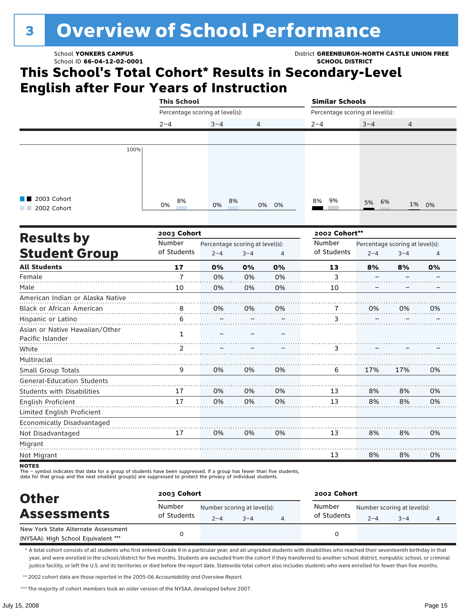# <sup>3</sup> Overview of School Performance

### School ID **66-04-12-02-0001 SCHOOL DISTRICT**

**School YONKERS CAMPUS District GREENBURGH-NORTH CASTLE UNION FREE** 

### **This School's Total Cohort\* Results in Secondary-Level English after Four Years of Instruction**

|                                   | <b>This School</b>              |                                 |         |                | <b>Similar Schools</b>          |         |                                 |       |
|-----------------------------------|---------------------------------|---------------------------------|---------|----------------|---------------------------------|---------|---------------------------------|-------|
|                                   | Percentage scoring at level(s): |                                 |         |                | Percentage scoring at level(s): |         |                                 |       |
|                                   | $2 - 4$                         | $3 - 4$                         | 4       |                | $2 - 4$                         | $3 - 4$ | 4                               |       |
|                                   |                                 |                                 |         |                |                                 |         |                                 |       |
| 100%                              |                                 |                                 |         |                |                                 |         |                                 |       |
|                                   |                                 |                                 |         |                |                                 |         |                                 |       |
|                                   |                                 |                                 |         |                |                                 |         |                                 |       |
|                                   |                                 |                                 |         |                |                                 |         |                                 |       |
| 2003 Cohort                       |                                 |                                 |         |                |                                 |         |                                 |       |
| 2002 Cohort                       | 8%<br>0%                        | 8%<br>0%                        | 0%      | 0%             | 9%<br>8%                        | 5% 6%   |                                 | 1% 0% |
|                                   |                                 |                                 |         |                |                                 |         |                                 |       |
|                                   | 2003 Cohort                     |                                 |         |                | 2002 Cohort**                   |         |                                 |       |
| <b>Results by</b>                 | Number                          | Percentage scoring at level(s): |         |                | Number                          |         | Percentage scoring at level(s): |       |
| <b>Student Group</b>              | of Students                     | $2 - 4$                         | $3 - 4$ | $\overline{4}$ | of Students                     | $2 - 4$ | $3 - 4$                         | 4     |
| <b>All Students</b>               | 17                              | 0%                              | 0%      | 0%             | 13                              | 8%      | 8%                              | 0%    |
| Female                            | $\overline{7}$                  | 0%                              | 0%      | 0%             | 3                               |         |                                 |       |
| Male                              | 10                              | 0%                              | 0%      | 0%             | 10                              |         |                                 |       |
| American Indian or Alaska Native  |                                 |                                 |         |                |                                 |         |                                 |       |
| Black or African American         | 8                               | 0%                              | 0%      | 0%             | 7                               | 0%      | 0%                              | 0%    |
| Hispanic or Latino                | 6                               |                                 |         |                | 3                               |         |                                 |       |
| Asian or Native Hawaiian/Other    | $\mathbf{1}$                    |                                 |         |                |                                 |         |                                 |       |
| Pacific Islander                  |                                 |                                 |         |                |                                 |         |                                 |       |
| White                             | 2                               |                                 |         |                | 3                               |         |                                 |       |
| Multiracial                       |                                 |                                 |         |                |                                 |         |                                 |       |
| Small Group Totals                | 9                               | 0%                              | 0%      | 0%             | 6                               | 17%     | 17%                             | 0%    |
| <b>General-Education Students</b> |                                 |                                 |         |                |                                 |         |                                 |       |
| <b>Students with Disabilities</b> | 17                              | 0%                              | 0%      | 0%             | 13                              | 8%      | 8%                              | 0%    |
| English Proficient                | 17                              | 0%                              | 0%      | 0%             | 13                              | 8%      | 8%                              | 0%    |
| Limited English Proficient        |                                 |                                 |         |                |                                 |         |                                 |       |
| Economically Disadvantaged        |                                 |                                 |         |                |                                 |         |                                 |       |
| Not Disadvantaged                 | 17                              | 0%                              | 0%      | 0%             | 13                              | 8%      | 8%                              | 0%    |
| Migrant                           |                                 |                                 |         |                |                                 |         |                                 |       |
| Not Migrant                       |                                 |                                 |         |                | 13                              | 8%      | 8%                              | 0%    |
|                                   |                                 |                                 |         |                |                                 |         |                                 |       |

NOTES<br>The – symbol indicates that data for a group of students have been suppressed. If a group has fewer than five students,

data for that group and the next smallest group(s) are suppressed to protect the privacy of individual students.

| <b>Other</b>                                                               |                       | 2003 Cohort                            |         |  |                       | 2002 Cohort                            |         |  |  |  |
|----------------------------------------------------------------------------|-----------------------|----------------------------------------|---------|--|-----------------------|----------------------------------------|---------|--|--|--|
| <b>Assessments</b>                                                         | Number<br>of Students | Number scoring at level(s):<br>$2 - 4$ | $3 - 4$ |  | Number<br>of Students | Number scoring at level(s):<br>$2 - 4$ | $3 - 4$ |  |  |  |
| New York State Alternate Assessment<br>(NYSAA): High School Equivalent *** |                       |                                        |         |  |                       |                                        |         |  |  |  |

\* A total cohort consists of all students who first entered Grade 9 in a particular year, and all ungraded students with disabilities who reached their seventeenth birthday in that year, and were enrolled in the school/district for five months. Students are excluded from the cohort if they transferred to another school district, nonpublic school, or criminal justice facility, or left the U.S. and its territories or died before the report date. Statewide total cohort also includes students who were enrolled for fewer than five months.

\*\*2002 cohort data are those reported in the 2005-06 *Accountability and Overview Report*.

\*\*\* The majority of cohort members took an older version of the NYSAA, developed before 2007.